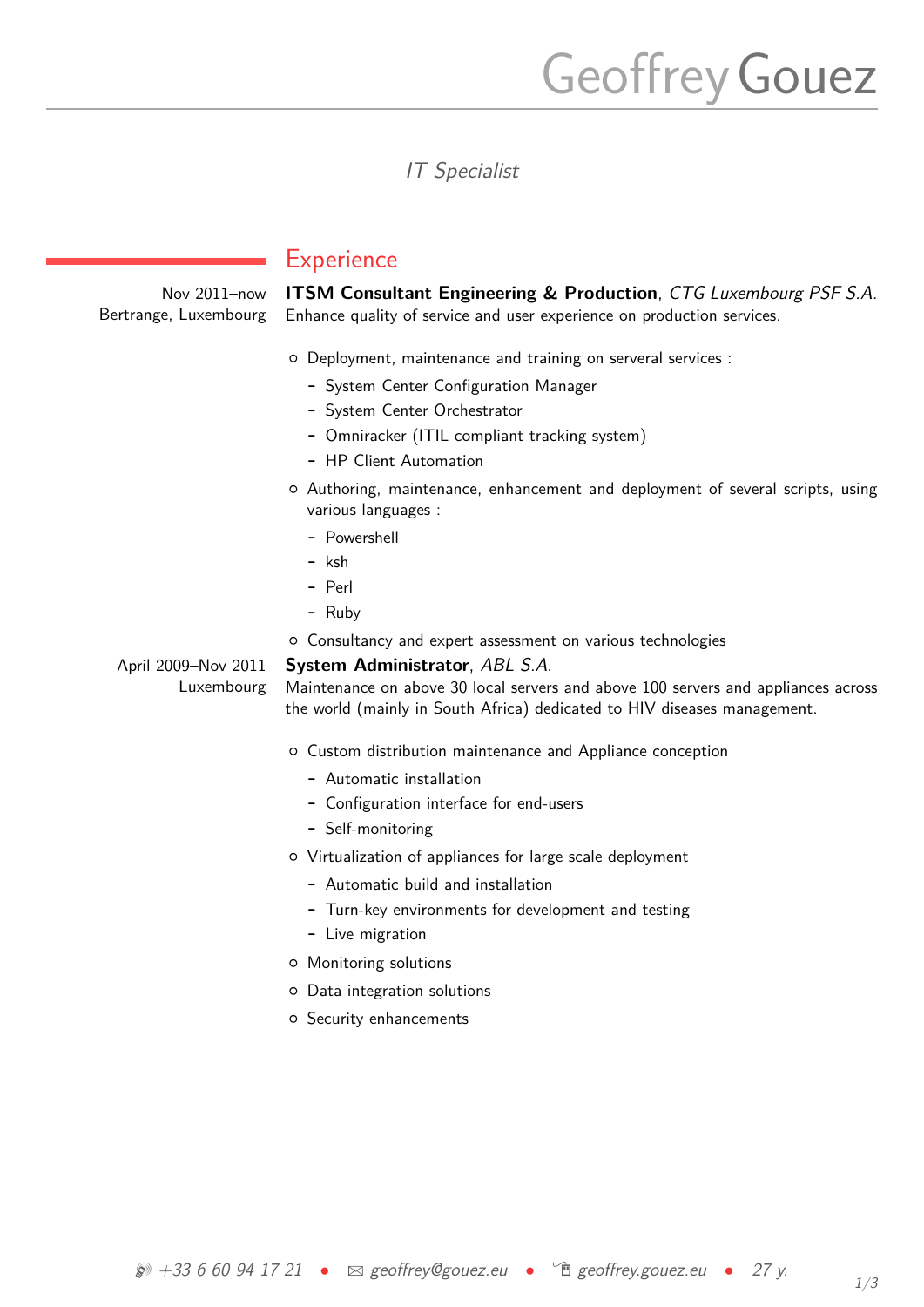# Geoffrey Gouez

IT Specialist

Nov 2011–now **ITSM Consultant Engineering & Production**, CTG Luxembourg PSF S.A. Bertrange, Luxembourg Enhance quality of service and user experience on production services.

#### { Deployment, maintenance and training on serveral services :

- **-** System Center Configuration Manager
- **-** System Center Orchestrator
- **-** Omniracker (ITIL compliant tracking system)
- **-** HP Client Automation
- { Authoring, maintenance, enhancement and deployment of several scripts, using various languages :
	- **-** Powershell
	- **-** ksh

**Experience** 

- **-** Perl
- **-** Ruby
- { Consultancy and expert assessment on various technologies

April 2009–Nov 2011 Luxembourg

**System Administrator**, ABL S.A. Maintenance on above 30 local servers and above 100 servers and appliances across the world (mainly in South Africa) dedicated to HIV diseases management.

- { Custom distribution maintenance and Appliance conception
	- **-** Automatic installation
	- **-** Configuration interface for end-users
	- **-** Self-monitoring
- { Virtualization of appliances for large scale deployment
	- **-** Automatic build and installation
	- **-** Turn-key environments for development and testing
	- **-** Live migration
- { Monitoring solutions
- { Data integration solutions
- { Security enhancements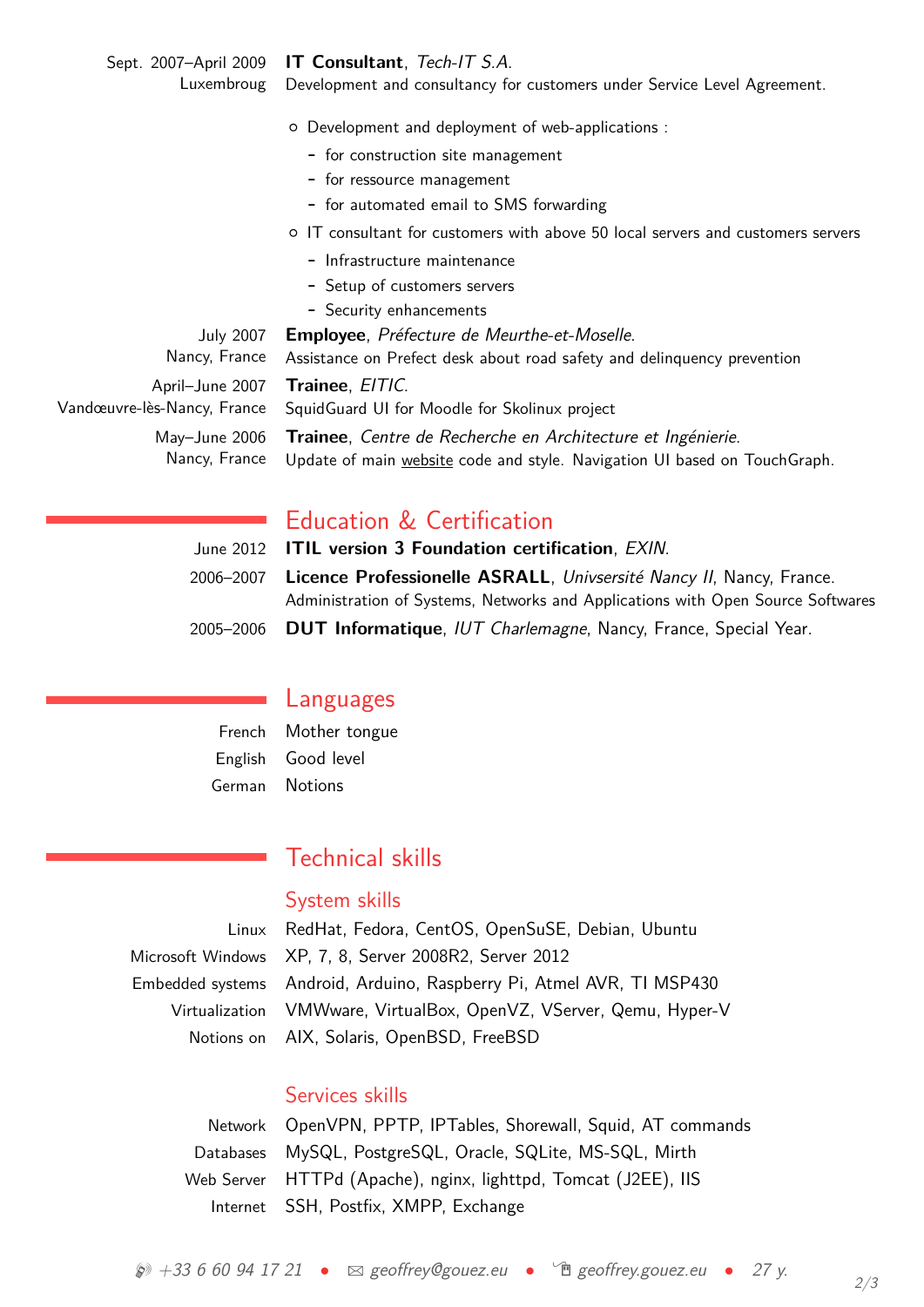Sept. 2007–April 2009 **IT Consultant**, Tech-IT S.A.

Luxembroug Development and consultancy for customers under Service Level Agreement.

- { Development and deployment of web-applications :
	- **-** for construction site management
	- **-** for ressource management
	- **-** for automated email to SMS forwarding
- { IT consultant for customers with above 50 local servers and customers servers
	- **-** Infrastructure maintenance
	- **-** Setup of customers servers
	- **-** Security enhancements

| <b>July 2007</b>            |
|-----------------------------|
| Nancy, France               |
| April-June 2007             |
| Vandœuvre-lès-Nancy, France |
| May-June 2006               |
| Nancy, France               |

**Employee**, Préfecture de Meurthe-et-Moselle. Assistance on Prefect desk about road safety and delinquency prevention **Trainee**, EITIC.

SquidGuard UI for Moodle for Skolinux project

**Trainee**, Centre de Recherche en Architecture et Ingénierie. Update of main [website](http://crai.archi.fr) code and style. Navigation UI based on TouchGraph.

# Education & Certification

| June 2012 <b>ITIL version 3 Foundation certification</b> , <i>EXIN</i> .          |
|-----------------------------------------------------------------------------------|
| 2006–2007 Licence Professionelle ASRALL, Univsersité Nancy II, Nancy, France.     |
| Administration of Systems, Networks and Applications with Open Source Softwares   |
| 2005–2006 <b>DUT Informatique</b> , IUT Charlemagne, Nancy, France, Special Year. |

## Languages

French Mother tongue English Good level German Notions

# Technical skills

#### System skills

Linux RedHat, Fedora, CentOS, OpenSuSE, Debian, Ubuntu Microsoft Windows XP, 7, 8, Server 2008R2, Server 2012 Embedded systems Android, Arduino, Raspberry Pi, Atmel AVR, TI MSP430 Virtualization VMWware, VirtualBox, OpenVZ, VServer, Qemu, Hyper-V Notions on AIX, Solaris, OpenBSD, FreeBSD

## Services skills

| Network OpenVPN, PPTP, IPTables, Shorewall, Squid, AT commands |
|----------------------------------------------------------------|
| Databases MySQL, PostgreSQL, Oracle, SQLite, MS-SQL, Mirth     |
| Web Server HTTPd (Apache), nginx, lighttpd, Tomcat (J2EE), IIS |
| Internet SSH, Postfix, XMPP, Exchange                          |